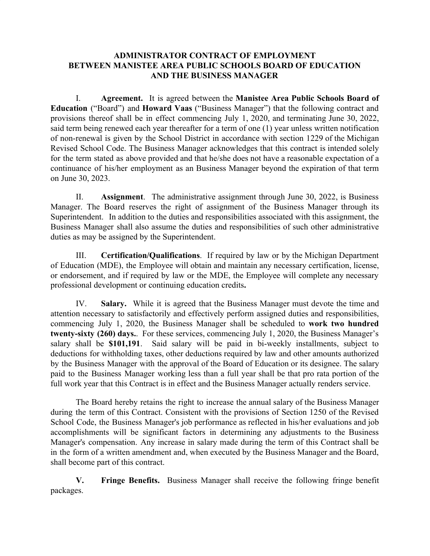## **ADMINISTRATOR CONTRACT OF EMPLOYMENT BETWEEN MANISTEE AREA PUBLIC SCHOOLS BOARD OF EDUCATION AND THE BUSINESS MANAGER**

I. **Agreement.** It is agreed between the **Manistee Area Public Schools Board of Education** ("Board") and **Howard Vaas** ("Business Manager") that the following contract and provisions thereof shall be in effect commencing July 1, 2020, and terminating June 30, 2022, said term being renewed each year thereafter for a term of one (1) year unless written notification of non-renewal is given by the School District in accordance with section 1229 of the Michigan Revised School Code. The Business Manager acknowledges that this contract is intended solely for the term stated as above provided and that he/she does not have a reasonable expectation of a continuance of his/her employment as an Business Manager beyond the expiration of that term on June 30, 2023.

II. **Assignment**. The administrative assignment through June 30, 2022, is Business Manager. The Board reserves the right of assignment of the Business Manager through its Superintendent. In addition to the duties and responsibilities associated with this assignment, the Business Manager shall also assume the duties and responsibilities of such other administrative duties as may be assigned by the Superintendent.

III. **Certification/Qualifications**. If required by law or by the Michigan Department of Education (MDE), the Employee will obtain and maintain any necessary certification, license, or endorsement, and if required by law or the MDE, the Employee will complete any necessary professional development or continuing education credits**.**

IV. **Salary.** While it is agreed that the Business Manager must devote the time and attention necessary to satisfactorily and effectively perform assigned duties and responsibilities, commencing July 1, 2020, the Business Manager shall be scheduled to **work two hundred twenty-sixty (260) days.**. For these services, commencing July 1, 2020, the Business Manager's salary shall be **\$101,191**. Said salary will be paid in bi-weekly installments, subject to deductions for withholding taxes, other deductions required by law and other amounts authorized by the Business Manager with the approval of the Board of Education or its designee. The salary paid to the Business Manager working less than a full year shall be that pro rata portion of the full work year that this Contract is in effect and the Business Manager actually renders service.

The Board hereby retains the right to increase the annual salary of the Business Manager during the term of this Contract. Consistent with the provisions of Section 1250 of the Revised School Code, the Business Manager's job performance as reflected in his/her evaluations and job accomplishments will be significant factors in determining any adjustments to the Business Manager's compensation. Any increase in salary made during the term of this Contract shall be in the form of a written amendment and, when executed by the Business Manager and the Board, shall become part of this contract.

**V. Fringe Benefits.** Business Manager shall receive the following fringe benefit packages.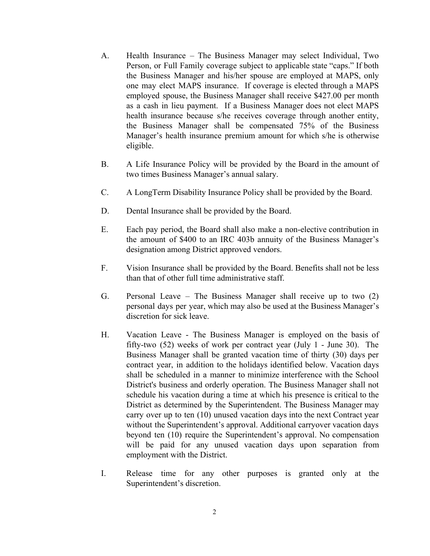- A. Health Insurance The Business Manager may select Individual, Two Person, or Full Family coverage subject to applicable state "caps." If both the Business Manager and his/her spouse are employed at MAPS, only one may elect MAPS insurance. If coverage is elected through a MAPS employed spouse, the Business Manager shall receive \$427.00 per month as a cash in lieu payment. If a Business Manager does not elect MAPS health insurance because s/he receives coverage through another entity, the Business Manager shall be compensated 75% of the Business Manager's health insurance premium amount for which s/he is otherwise eligible.
- B. A Life Insurance Policy will be provided by the Board in the amount of two times Business Manager's annual salary.
- C. A LongTerm Disability Insurance Policy shall be provided by the Board.
- D. Dental Insurance shall be provided by the Board.
- E. Each pay period, the Board shall also make a non-elective contribution in the amount of \$400 to an IRC 403b annuity of the Business Manager's designation among District approved vendors.
- F. Vision Insurance shall be provided by the Board. Benefits shall not be less than that of other full time administrative staff.
- G. Personal Leave The Business Manager shall receive up to two (2) personal days per year, which may also be used at the Business Manager's discretion for sick leave.
- H. Vacation Leave The Business Manager is employed on the basis of fifty-two (52) weeks of work per contract year (July 1 - June 30). The Business Manager shall be granted vacation time of thirty (30) days per contract year, in addition to the holidays identified below. Vacation days shall be scheduled in a manner to minimize interference with the School District's business and orderly operation. The Business Manager shall not schedule his vacation during a time at which his presence is critical to the District as determined by the Superintendent. The Business Manager may carry over up to ten (10) unused vacation days into the next Contract year without the Superintendent's approval. Additional carryover vacation days beyond ten (10) require the Superintendent's approval. No compensation will be paid for any unused vacation days upon separation from employment with the District.
- I. Release time for any other purposes is granted only at the Superintendent's discretion.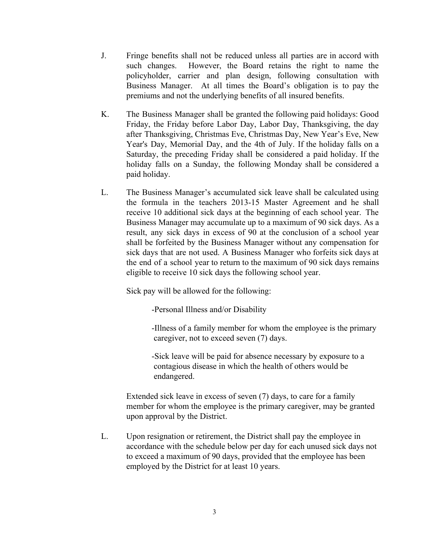- J. Fringe benefits shall not be reduced unless all parties are in accord with such changes. However, the Board retains the right to name the policyholder, carrier and plan design, following consultation with Business Manager. At all times the Board's obligation is to pay the premiums and not the underlying benefits of all insured benefits.
- K. The Business Manager shall be granted the following paid holidays: Good Friday, the Friday before Labor Day, Labor Day, Thanksgiving, the day after Thanksgiving, Christmas Eve, Christmas Day, New Year's Eve, New Year's Day, Memorial Day, and the 4th of July. If the holiday falls on a Saturday, the preceding Friday shall be considered a paid holiday. If the holiday falls on a Sunday, the following Monday shall be considered a paid holiday.
- L. The Business Manager's accumulated sick leave shall be calculated using the formula in the teachers 2013-15 Master Agreement and he shall receive 10 additional sick days at the beginning of each school year. The Business Manager may accumulate up to a maximum of 90 sick days. As a result, any sick days in excess of 90 at the conclusion of a school year shall be forfeited by the Business Manager without any compensation for sick days that are not used. A Business Manager who forfeits sick days at the end of a school year to return to the maximum of 90 sick days remains eligible to receive 10 sick days the following school year.

Sick pay will be allowed for the following:

-Personal Illness and/or Disability

-Illness of a family member for whom the employee is the primary caregiver, not to exceed seven (7) days.

-Sick leave will be paid for absence necessary by exposure to a contagious disease in which the health of others would be endangered.

Extended sick leave in excess of seven (7) days, to care for a family member for whom the employee is the primary caregiver, may be granted upon approval by the District.

L. Upon resignation or retirement, the District shall pay the employee in accordance with the schedule below per day for each unused sick days not to exceed a maximum of 90 days, provided that the employee has been employed by the District for at least 10 years.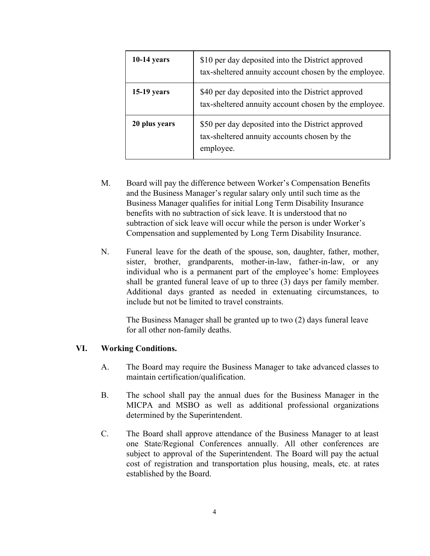| $10-14$ years | \$10 per day deposited into the District approved<br>tax-sheltered annuity account chosen by the employee.     |
|---------------|----------------------------------------------------------------------------------------------------------------|
| $15-19$ years | \$40 per day deposited into the District approved<br>tax-sheltered annuity account chosen by the employee.     |
| 20 plus years | \$50 per day deposited into the District approved<br>tax-sheltered annuity accounts chosen by the<br>employee. |

- M. Board will pay the difference between Worker's Compensation Benefits and the Business Manager's regular salary only until such time as the Business Manager qualifies for initial Long Term Disability Insurance benefits with no subtraction of sick leave. It is understood that no subtraction of sick leave will occur while the person is under Worker's Compensation and supplemented by Long Term Disability Insurance.
- N. Funeral leave for the death of the spouse, son, daughter, father, mother, sister, brother, grandparents, mother-in-law, father-in-law, or any individual who is a permanent part of the employee's home: Employees shall be granted funeral leave of up to three (3) days per family member. Additional days granted as needed in extenuating circumstances, to include but not be limited to travel constraints.

The Business Manager shall be granted up to two (2) days funeral leave for all other non-family deaths.

## **VI. Working Conditions.**

- A. The Board may require the Business Manager to take advanced classes to maintain certification/qualification.
- B. The school shall pay the annual dues for the Business Manager in the MICPA and MSBO as well as additional professional organizations determined by the Superintendent.
- C. The Board shall approve attendance of the Business Manager to at least one State/Regional Conferences annually. All other conferences are subject to approval of the Superintendent. The Board will pay the actual cost of registration and transportation plus housing, meals, etc. at rates established by the Board.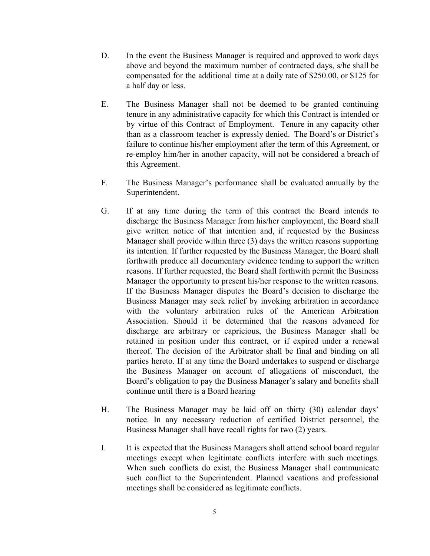- D. In the event the Business Manager is required and approved to work days above and beyond the maximum number of contracted days, s/he shall be compensated for the additional time at a daily rate of \$250.00, or \$125 for a half day or less.
- E. The Business Manager shall not be deemed to be granted continuing tenure in any administrative capacity for which this Contract is intended or by virtue of this Contract of Employment. Tenure in any capacity other than as a classroom teacher is expressly denied. The Board's or District's failure to continue his/her employment after the term of this Agreement, or re-employ him/her in another capacity, will not be considered a breach of this Agreement.
- F. The Business Manager's performance shall be evaluated annually by the Superintendent.
- G. If at any time during the term of this contract the Board intends to discharge the Business Manager from his/her employment, the Board shall give written notice of that intention and, if requested by the Business Manager shall provide within three (3) days the written reasons supporting its intention. If further requested by the Business Manager, the Board shall forthwith produce all documentary evidence tending to support the written reasons. If further requested, the Board shall forthwith permit the Business Manager the opportunity to present his/her response to the written reasons. If the Business Manager disputes the Board's decision to discharge the Business Manager may seek relief by invoking arbitration in accordance with the voluntary arbitration rules of the American Arbitration Association. Should it be determined that the reasons advanced for discharge are arbitrary or capricious, the Business Manager shall be retained in position under this contract, or if expired under a renewal thereof. The decision of the Arbitrator shall be final and binding on all parties hereto. If at any time the Board undertakes to suspend or discharge the Business Manager on account of allegations of misconduct, the Board's obligation to pay the Business Manager's salary and benefits shall continue until there is a Board hearing
- H. The Business Manager may be laid off on thirty (30) calendar days' notice. In any necessary reduction of certified District personnel, the Business Manager shall have recall rights for two (2) years.
- I. It is expected that the Business Managers shall attend school board regular meetings except when legitimate conflicts interfere with such meetings. When such conflicts do exist, the Business Manager shall communicate such conflict to the Superintendent. Planned vacations and professional meetings shall be considered as legitimate conflicts.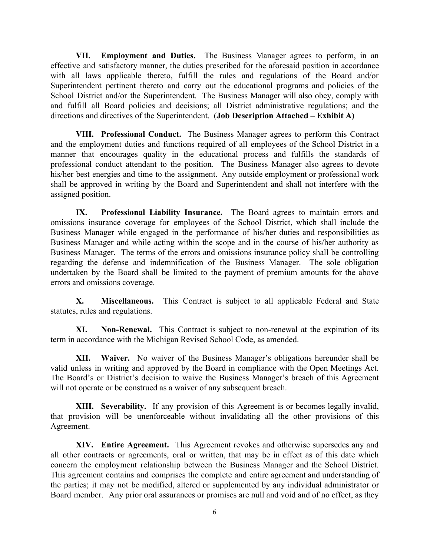**VII. Employment and Duties.** The Business Manager agrees to perform, in an effective and satisfactory manner, the duties prescribed for the aforesaid position in accordance with all laws applicable thereto, fulfill the rules and regulations of the Board and/or Superintendent pertinent thereto and carry out the educational programs and policies of the School District and/or the Superintendent. The Business Manager will also obey, comply with and fulfill all Board policies and decisions; all District administrative regulations; and the directions and directives of the Superintendent. (**Job Description Attached – Exhibit A)**

**VIII. Professional Conduct.** The Business Manager agrees to perform this Contract and the employment duties and functions required of all employees of the School District in a manner that encourages quality in the educational process and fulfills the standards of professional conduct attendant to the position. The Business Manager also agrees to devote his/her best energies and time to the assignment. Any outside employment or professional work shall be approved in writing by the Board and Superintendent and shall not interfere with the assigned position.

**IX. Professional Liability Insurance.** The Board agrees to maintain errors and omissions insurance coverage for employees of the School District, which shall include the Business Manager while engaged in the performance of his/her duties and responsibilities as Business Manager and while acting within the scope and in the course of his/her authority as Business Manager. The terms of the errors and omissions insurance policy shall be controlling regarding the defense and indemnification of the Business Manager. The sole obligation undertaken by the Board shall be limited to the payment of premium amounts for the above errors and omissions coverage.

**X. Miscellaneous.** This Contract is subject to all applicable Federal and State statutes, rules and regulations.

**XI. Non-Renewal.** This Contract is subject to non-renewal at the expiration of its term in accordance with the Michigan Revised School Code, as amended.

**XII. Waiver.** No waiver of the Business Manager's obligations hereunder shall be valid unless in writing and approved by the Board in compliance with the Open Meetings Act. The Board's or District's decision to waive the Business Manager's breach of this Agreement will not operate or be construed as a waiver of any subsequent breach.

**XIII. Severability.** If any provision of this Agreement is or becomes legally invalid, that provision will be unenforceable without invalidating all the other provisions of this Agreement.

**XIV. Entire Agreement.** This Agreement revokes and otherwise supersedes any and all other contracts or agreements, oral or written, that may be in effect as of this date which concern the employment relationship between the Business Manager and the School District. This agreement contains and comprises the complete and entire agreement and understanding of the parties; it may not be modified, altered or supplemented by any individual administrator or Board member. Any prior oral assurances or promises are null and void and of no effect, as they